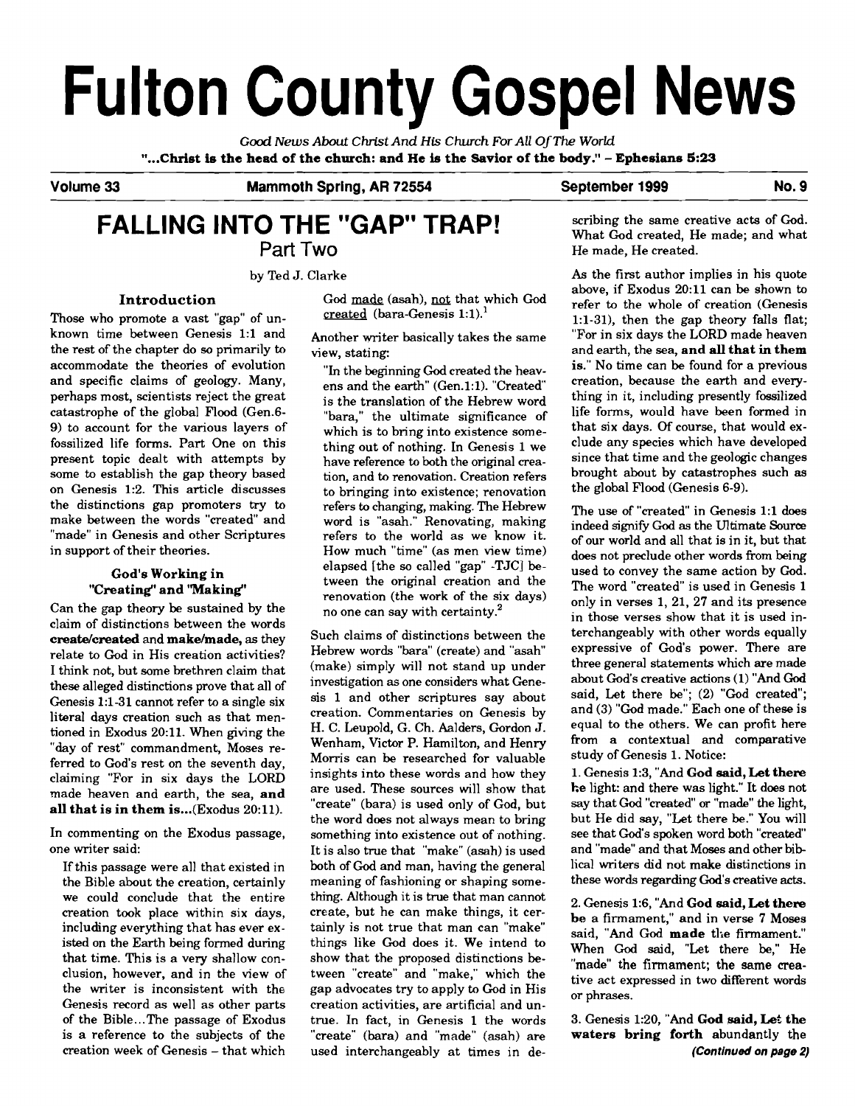# **Fulton County Gospel News**

*Good News About* **Christ** *And* **His Church** *For All OfThe World*  **"...Christ is the head of the church: and He is the Savior of the body."** - **Ephesians 5:23** 

Volume 33 Mammoth Spring, AR 72554 September 1999 No. 9

# **FALLING INTO THE "GAP" TRAP!**  Part Two

by Ted J. Clarke

## **Introduction**

Those who promote a vast "gap" of unknown time between Genesis 1:l and the rest of the chapter do so primarily to accommodate the theories of evolution and specific claims of geology. Many, perhaps most, scientists reject the great catastrophe of the global Flood (Gen.6- 9) to account for the various layers of fossilized life forms. Part One on this present topic dealt with attempts by some to establish the gap theory based on Genesis 1:2. This article discusses the distinctions gap promoters try to make between the words "created" and "made" in Genesis and other Scriptures in support of their theories.

# **God's Working in "Creating" and 'Making"**

Can the gap theory be sustained by the claim of distinctions between the words create/created and **make/made**, as they relate to God in His creation activities? I think not, but some brethren claim that these alleged distinctions prove that all of Genesis 1:l-31 cannot refer to a single six literal days creation such as that mentioned in Exodus 20:ll. When giving the "day of rest" commandment, Moses referred to God's rest on the seventh day, claiming "For in six days the LORD made heaven and earth, the sea, **and all that is in them is** ... (Exodus 20:ll).

In commenting on the Exodus passage, one writer said:

If this passage were all that existed in the Bible about the creation, certainly we could conclude that the entire creation took place within six days, including everything that has ever existed on the Earth being formed during that time. This is a very shallow conclusion, however, and in the view of the writer is inconsistent with the Genesis record as well as other parts of the Bible...The passage of Exodus is a reference to the subjects of the creation week of Genesis - that which

God made (asah), not that which God created (bara-Genesis 1:1).'

Another writer basically takes the same view, stating:

"In the beginning God created the heavens and the earth" (Gen.1:1). "Created" is the translation of the Hebrew word "bara," the ultimate significance of which is to bring into existence something out of nothing. In Genesis 1 we have reference to both the original creation, and to renovation. Creation refers to bringing into existence; renovation refers to changing, making. The Hebrew word is "asah." Renovating, making refers to the world as we know it. How much "time" (as men view time) elapsed [the so called "gap" -TJC] between the original creation and the renovation (the work of the six days) no one can say with certainty.2

Such claims of distinctions between the Hebrew words "bara" (create) and "asah (make) simply will not stand up under investigation as one considers what Genesis 1 and other scriptures say about creation. Commentaries on Genesis by H. C. Leupold, G. Ch. Aalders, Gordon J. Wenham, Victor P. Hamilton, and Henry Morris can be researched for valuable insights into these words and how they are used. These sources will show that "create" (bara) is used only of God, but the word does not always mean to bring something into existence out of nothing. It is also true that "make" (asah) is used both of God and man, having the general meaning of fashioning or shaping something. Although it is true that man cannot create, but he can make things, it certainly is not true that man can "make" things like God does it. We intend to show that the proposed distinctions between "create" and "make," which the gap advocates try to apply to God in His creation activities, are artificial and untrue. In fact, in Genesis 1 the words "create" (bara) and "made" (asah) are used interchangeably at times in describing the same creative acts of God. What God created, He made; and what He made, He created.

As the first author implies in his quote above, if Exodus 20:ll can be shown to refer to the whole of creation (Genesis 1:l-31), then the gap theory falls flat; "For in six days the LORD made heaven and earth, the sea, **and** all **that in them is."** No time can be found for a previous creation, because the earth and everything in it, including presently fossilized life forms. would have been formed in that six days. **Of** course, that would exclude any species which have developed since that time and the geologic changes brought about by catastrophes such as the global Flood (Genesis 6-9).

The use of "created" in Genesis 1:1 does indeed signify God as the Ultimate Source of our world and all that is in it, but that does not preclude other words from being used to convey the same action by God. The word "created" is used in Genesis 1 only in verses 1, 21, 27 and its presence in those verses show that it is used interchangeably with other words equally expressive of God's power. There are three general statements which are made about God's creative actions (1) "And **God**  said, Let there be"; (2) "God created"; and (3) "God made." Each one of these is equal to the others. We can profit here from a contextual and comparative study of Genesis 1. Notice:

1. Genesis 1:3, "And **God said, Let there he** light: and there was light." It does not say that God "created" or "made" the light, but He did say, "Let there be." You will see that God's spoken word both "created and "made" and that Moses and other biblical writers did not make distinctions in these words regarding God's creative **acts.** 

2. Genesis 1:6, "And **God said, Let there be** a firmament," and in verse 7 Moses said, "And God **made** tlie firmament." When God said, "Let there be," He "made" the firmament; the same creative act expressed in two different words or phrases.

3. Genesis 1:20, "And **God wid, Let the waters bring forth** abundantly the **(Continued on page 2)**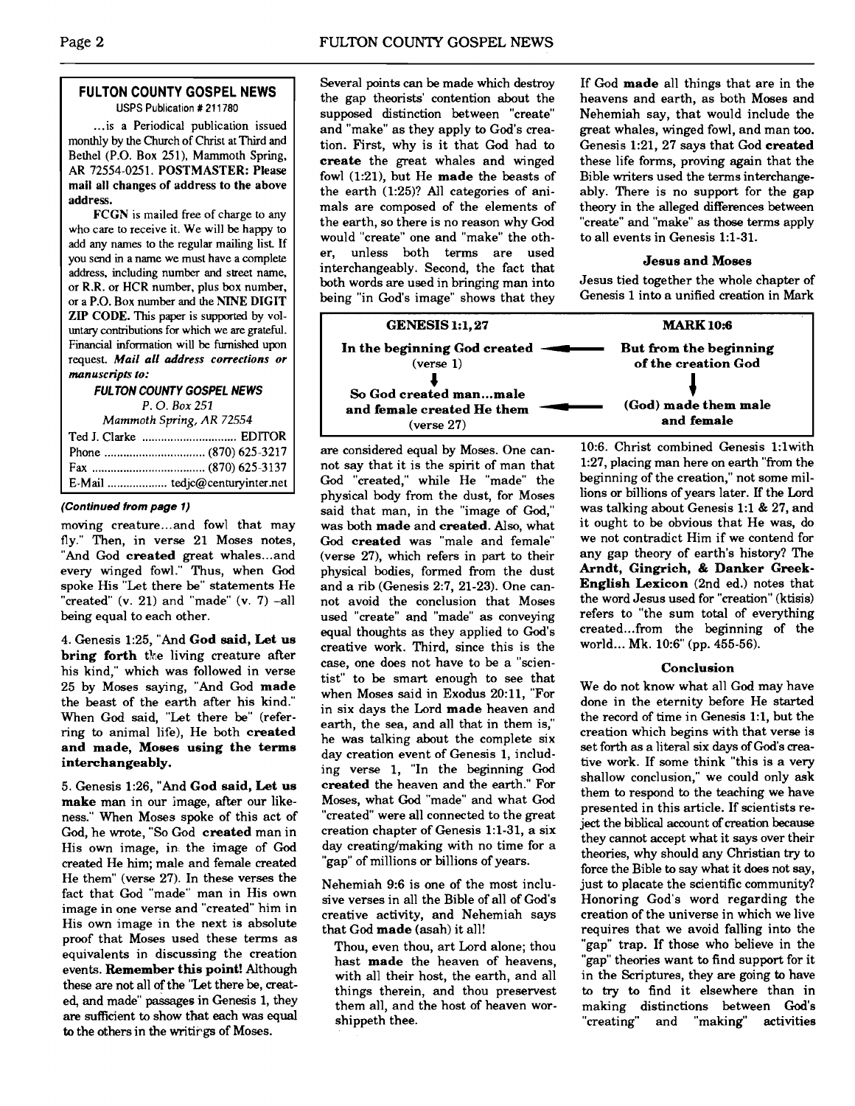# **FULTON COUNTY GOSPEL NEWS**

USPS Publication # **21** 1780

... is a Periodical publication issued monthly by the Church of Christ at Third and Bethel (P.O. Box 251), Mammoth Spring, AR 72554-0251. POSTMASTER: Please mail all changes of address to the above address.

FCGN is mailed free of charge to any who care to receive it. We will be happy to add any names to the regular mailing list If you send in a name we must have a complete address, including number and street name, or R.R. or HCR number, plus box number, or a P.O. Box number and the ATNE DIGIT ZIP CODE. This paper is supported by vol**untary** contributions for which we are grateful. Financial information will be furnished upon request. **Mail all address corrections or**  manuscripts to:

#### **FULTON COUNTY GOSPEL NEWS**

*P. 0. Box* <sup>251</sup>

| Mammoth Spring, AR 72554 |                                |  |  |
|--------------------------|--------------------------------|--|--|
|                          |                                |  |  |
|                          |                                |  |  |
|                          |                                |  |  |
|                          | E-Mail  tedjc@centuryinter.net |  |  |

### **(Continued from page 1)**

moving creature.. .and fowl that may fly." Then, in verse 21 Moses notes, "And God created great whales...and every winged fowl." Thus, when God spoke His "Let there be" statements He "created" (v. 21) and "made" (v. 7) -all being equal to each other.

4. Genesis 1:25, "And **God said, Let us bring forth** the living creature after his kind," which was followed in verse 25 by Moses saying, "And God **made**  the beast of the earth after his kind." When God said, "Let there be" (referring to animal life), He both **created and made, Moses using the terms interchangeably.** 

5. Genesis 1:26, "And **God said, Let us make** man in our image, after our likeness." When Moses spoke of this act of God, he wrote, "So God **created** man in His own image, in the image of God created He him; male and female created He them" (verse 27). In these verses the fact that God "made" man in His own image in one verse and "created" him in His own image in the next is absolute proof that Moses used these terms as equivalents in discussing the creation events. **Remember this point!** Although these are not all of the ''Let there be, created, and made" passages in Genesis 1, they are sufficient to show that each was equal to the others in the writirgs of Moses.

Several points can be made which destroy the gap theorists' contention about the supposed distinction between "create" and "make" as they apply to God's creation. First, why is it that God had to **create** the great whales and winged fowl (1:21), but He **made** the beasts of the earth (1:25)? All categories of animals are composed of the elements of the earth, so there is no reason why God would "create" one and "make" the other, unless both terms are used interchangeably. Second, the fact that both words are used in bringing man into being "in God's image" shows that they

are considered equal by Moses. One cannot say that it is the spirit of man that God "created," while He "made" the physical body from the dust, for Moses said that man, in the "image of God," was both **made** and **created.** Also, what God **created** was "male and female" (verse 27), which refers in part to their physical bodies, formed from the dust and a rib (Genesis 2:7, 21-23). One cannot avoid the conclusion that Moses used "create" and "made" as conveying equal thoughts as they applied to God's creative work. Third. since this is the case. one does not have to be a "scientist" to be smart enough to see that when Moses said in Exodus 20:11, "For in six days the Lord **made** heaven and earth, the sea, and all that in them is," he was talking about the complete six day creation event of Genesis 1, including verse 1, "In the beginning God **created** the heaven and the earth." For Moses. what **God** "made" and what God "created" were all connected to the great creation chapter of Genesis 1:l-31, a six day creating/making with no time for a "gap" of millions or billions of years.

Nehemiah 9:6 is one of the most inclusive verses in all the Bible of all of God's creative activity, and Nehemiah says that God **made** (asah) it all!

Thou, even thou, art Lord alone; thou hast **made** the heaven of heavens, with all their host, the earth, and all things therein, and thou preservest them all, and the host of heaven worshippeth thee.

If God **made** all things that are in the heavens and earth, as both Moses and Nehemiah say, that would include the great whales, winged fowl, and man **too.**  Genesis 1:21, 27 says that God **created**  these life forms, proving again that the Bible writers used the terms interchangeably. There is no support for the gap theory in the alleged differences between "create" and "make" as those terms apply to all events in Genesis 1:l-31.

### **Jesus and Moses**

Jesus tied together the whole chapter of Genesis 1 into a unified creation in Mark

| 1 (1:21), but He made the beasts of<br>earth (1:25)? All categories of ani-<br>s are composed of the elements of<br>earth, so there is no reason why God<br>lld "create" one and "make" the oth-<br>unless both terms are used<br>rchangeably. Second, the fact that<br>ı words are used in bringing man into<br>ng "in God's image" shows that they | Bible writers used the terms interchar<br>ably. There is no support for the<br>theory in the alleged differences betw<br>"create" and "make" as those terms ar<br>to all events in Genesis 1:1-31.<br><b>Jesus and Moses</b><br>Jesus tied together the whole chapte<br>Genesis 1 into a unified creation in M |  |
|------------------------------------------------------------------------------------------------------------------------------------------------------------------------------------------------------------------------------------------------------------------------------------------------------------------------------------------------------|----------------------------------------------------------------------------------------------------------------------------------------------------------------------------------------------------------------------------------------------------------------------------------------------------------------|--|
| <b>GENESIS 1:1, 27</b>                                                                                                                                                                                                                                                                                                                               | <b>MARK 10:6</b>                                                                                                                                                                                                                                                                                               |  |
| In the beginning God created<br>( <b>verse</b> 1)<br>So God created manmale<br>and female created He them<br>(verse 27)                                                                                                                                                                                                                              | But from the beginning<br>of the creation God<br>(God) made them male<br>and female                                                                                                                                                                                                                            |  |
| considered equal by Moses. One can-                                                                                                                                                                                                                                                                                                                  | 10:6. Christ combined Genesis 1:1                                                                                                                                                                                                                                                                              |  |

10:6. Christ combined Genesis 1:lwith 1:27, placing man here on earth "from the beginning of the creation," not some millions or billions of years later. If the Lord was talking about Genesis 1:l & 27, and it ought to be obvious that He was, do we not contradict Him if we contend for any gap theory of earth's history? The **Arndt, Gingrich,** & **Danker Greek-English Lexicon** (2nd ed.) notes that the word Jesus used for "creation" (ktisis) refers to "the sum total of everything created ... from the beginning of the world... Mk. 10:6" (pp. 455-56).

### **Conclusion**

We do not know what all God may have done in the eternity before He started the record of time in Genesis 1:1, but the creation which begins with that verse is set forth as a literal six days of God's creative work. If some think "this is a very shallow conclusion," we could only ask them to respond to the teaching we have presented in this article. If scientists reject the biblical account of creation because they cannot accept what it says over their theories, why should any Christian **try** to force the Bible to say what it does not say, just to placate the scientific community? Honoring God's word regarding the creation of the universe in which we live requires that we avoid falling into the "gap" trap. If those who believe in the "gap" theories want to find support for it in the Scriptures, they are going to have to **try** to find it elsewhere than in making distinctions between God's<br>"creating" and "making" activities "creating" and "making"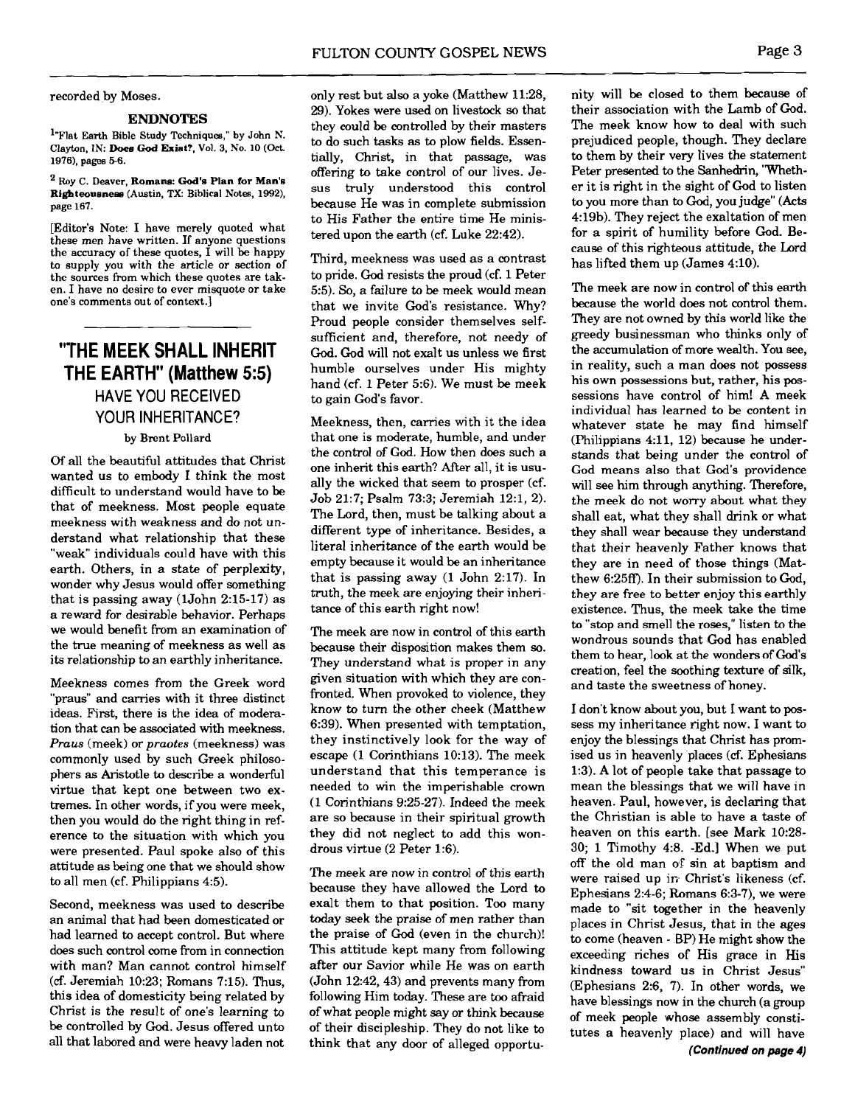#### recorded by Moses.

#### **ENDNOTES**

<sup>1</sup>"Flat Earth Bible Study Techniques," by John N. Clayton, IN: **Does God Exist?.** Vol. **3,** No. 10 (Oct. **1976). pages 56.** 

Roy C. **Deaver, Romans: God's Plan for Man's Righteousness** (Austin, **TX:** Biblical Notes, **1992), page 167.** 

[Editor's Note: I have merely quoted what the accuracy of these quotes,  $\tilde{I}$  will be happy to supply you with the article or section of the sources from which these quotes are taken. I have no desire to ever misquote or take one's comments out of context.]

# **"'THE MEEK SHALL INHERIT THE EARTH" (Matthew 5:s)**  HAVE YOU RECEIVED YOUR INHERITANCE?

## by Brent Pollard

Of all the beautiful attitudes that Christ wanted us to embody I think the most difficult to understand would have to be that of meekness. Most people equate meekness with weakness and do not understand what relationship that these "weak" individuals could have with this earth. Others, in a state of perplexity, wonder why Jesus would offer something that is passing away (1John 2:15-17) as a reward for desirable behavior. Perhaps we would benefit from an examination of the true meaning of meekness as well as its relationship to an earthly inheritance.

Meekness comes from the Greek word "praus" and carries with it three distinct ideas. First, there is the idea of modemtion that can be associated with meekness. Praus (meek) or praotes (meekness) was commonly used by such Greek philosophers as Aristotle to describe a wonderful virtue that kept one between two extremes. In other words, if you were meek, then you would do the right thing in reference to the situation with which you were presented. Paul spoke also of this attitude **as** being one that we should show to all men (cf. Philippians 4:5).

Second, meekness was used to describe an animal that had been domesticated or had learned to accept control. But where does such control come from in connection with man? Man cannot control himself (cf. Jeremiah 10:23; Romans 7:15). Thus, this idea of domesticity being related by Christ is the result of one's learning to be controlled by God. Jesus offered unto all that labored and were heavy laden not

only rest but also a yoke (Matthew 11:28, 29). Yokes were used on livestock so that they could be controlled by their masters to do such **tasks as** to plow fields. Essentially, Christ, in that passage, was offering to take control of our lives. Jesus truly understood this control because He was in complete submission to His Father the entire time He ministered upon the earth (cf. Luke 22:42).

Third, meekness was used as a contrast to pride. God resists the proud (cf. 1 Peter 5:s). So, a failure to be meek would mean that we invite God's resistance. Why? Proud people consider themselves selfsufficient and, therefore, not needy of God. God will not exalt us unless we first humble ourselves under His mighty hand (cf. 1 Peter 5:6). We must be meek to gain God's favor.

Meekness, then, carries with it the idea that one is moderate, humble, and under the control of God. How then does such a one inherit this earth? After all, it is usually the wicked that seem to prosper (cf. Job 21:7; Psalm 73:3; Jeremiah 12:1, 2). The Lord, then, must be talking about a different type of inheritance. Besides, a literal inheritance of the earth would be empty because it would be an inheritance that is passing away (1 John 2:17). In truth, the meek are enjoying their inheritance of this earth right now!

The meek are now in control of this earth because their disposition makes them so. They understand what is proper in any given situation with which they are confronted. When provoked to violence, they know to turn the other cheek (Matthew 6:39). When presented with temptation, they instinctively look for the way of escape (1 Corinthians 10:13). The meek understand that this temperance is needed to win the imperishable crown (1 Corinthians 9:25-27). Indeed the meek are so because in their spiritual growth they did not neglect to add this wondrous virtue (2 Peter 1:6).

The meek are now in control of this earth because they have allowed the Lord to exalt them to that position. Too many today seek the praise of men rather than the praise of God (even in the church)! This attitude kept many from following after our Savior while He was on earth (John 12:42,43) and prevents many from following Him today. These are too afraid of what people might say or think because of their discipleship. They do not like to think that any door of alleged opportunity will be closed to them because of their association with the Lamb of God. The meek know how to deal with such prejudiced people, though. They declare to them by their very lives the statement Peter presented to the Sanhedrin, 'Whether it is right in the sight of God to listen to you more than to God, you judge" (Acts 4:19b). They reject the exaltation of men for a spirit of humility before God. Because of this righteous attitude, the Lord has lifted them up (James 4:lO).

The meek are now in control of this earth because the world does not control them. They are not owned by this world like the greedy businessman who thinks only of the accumulation of more wealth. You **see,**  in reality, such a man does not possess his own possessions but, rather, his possessions have control of him! A meek individual has learned to be content in whatever state he may find himself  $(Philippians 4:11, 12)$  because he understands that being under the control of God means also that God's providence will see him through anything. Therefore, the meek do not worry about what they shall eat, what they shall drink or what they shall wear because they understand that their heavenly Father knows that they are in need of those things (Matthew 6:25ff). In their submission to God, they are free to better enjoy this earthly existence. Thus, the meek take the time to "stop and smell the roses," listen to the wondrous sounds that God has enabled them to hear, look at the wonders of God's creation, feel the soothing texture of silk, and taste the sweetness of honey.

I don't know about you, but I want to possess my inheritance right now. I want to enjoy the blessings that Christ has promised us in heavenly places (cf. Ephesians 1:3). A lot of people take that passage to mean the blessings that we will have in heaven. Paul, however, is declaring that the Christian is able to have a taste of heaven on this earth. [see Mark 10:28- 30; 1 Timothy **4:8.** -Ed.] When we put off the old man OF sin at baptism and were raised up in Christ's likeness (cf. Ephesians 2:4-6; Romans 6:3-7). we were made to "sit together in the heavenly places in Christ Jesus, that in the ages to come (heaven - BP) He might show the exceeding riches of His grace in His kindness toward us in Christ Jesus" (Ephesians 2:6, 7). In other words, we have blessings now in the church (a group of meek people whose assembly constitutes a heavenly place) and will have